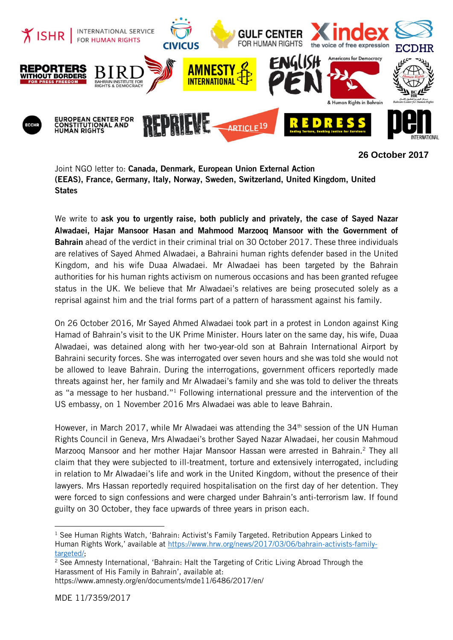

**26 October 2017**

Joint NGO letter to: Canada, Denmark, European Union External Action (EEAS), France, Germany, Italy, Norway, Sweden, Switzerland, United Kingdom, United **States** 

We write to ask you to urgently raise, both publicly and privately, the case of Sayed Nazar Alwadaei, Hajar Mansoor Hasan and Mahmood Marzooq Mansoor with the Government of **Bahrain** ahead of the verdict in their criminal trial on 30 October 2017. These three individuals are relatives of Sayed Ahmed Alwadaei, a Bahraini human rights defender based in the United Kingdom, and his wife Duaa Alwadaei. Mr Alwadaei has been targeted by the Bahrain authorities for his human rights activism on numerous occasions and has been granted refugee status in the UK. We believe that Mr Alwadaei's relatives are being prosecuted solely as a reprisal against him and the trial forms part of a pattern of harassment against his family.

On 26 October 2016, Mr Sayed Ahmed Alwadaei took part in a protest in London against King Hamad of Bahrain's visit to the UK Prime Minister. Hours later on the same day, his wife, Duaa Alwadaei, was detained along with her two-year-old son at Bahrain International Airport by Bahraini security forces. She was interrogated over seven hours and she was told she would not be allowed to leave Bahrain. During the interrogations, government officers reportedly made threats against her, her family and Mr Alwadaei's family and she was told to deliver the threats as "a message to her husband." <sup>1</sup> Following international pressure and the intervention of the US embassy, on 1 November 2016 Mrs Alwadaei was able to leave Bahrain.

However, in March 2017, while Mr Alwadaei was attending the 34<sup>th</sup> session of the UN Human Rights Council in Geneva, Mrs Alwadaei's brother Sayed Nazar Alwadaei, her cousin Mahmoud Marzoog Mansoor and her mother Hajar Mansoor Hassan were arrested in Bahrain.<sup>2</sup> They all claim that they were subjected to ill-treatment, torture and extensively interrogated, including in relation to Mr Alwadaei's life and work in the United Kingdom, without the presence of their lawyers. Mrs Hassan reportedly required hospitalisation on the first day of her detention. They were forced to sign confessions and were charged under Bahrain's anti-terrorism law. If found guilty on 30 October, they face upwards of three years in prison each.

1

<sup>&</sup>lt;sup>1</sup> See Human Rights Watch, 'Bahrain: Activist's Family Targeted. Retribution Appears Linked to Human Rights Work,' available at [https://www.hrw.org/news/2017/03/06/bahrain-activists-family](https://www.hrw.org/news/2017/03/06/bahrain-activists-family-targeted/)[targeted/;](https://www.hrw.org/news/2017/03/06/bahrain-activists-family-targeted/)

 $2$  See Amnesty International, 'Bahrain: Halt the Targeting of Critic Living Abroad Through the Harassment of His Family in Bahrain', available at: https://www.amnesty.org/en/documents/mde11/6486/2017/en/